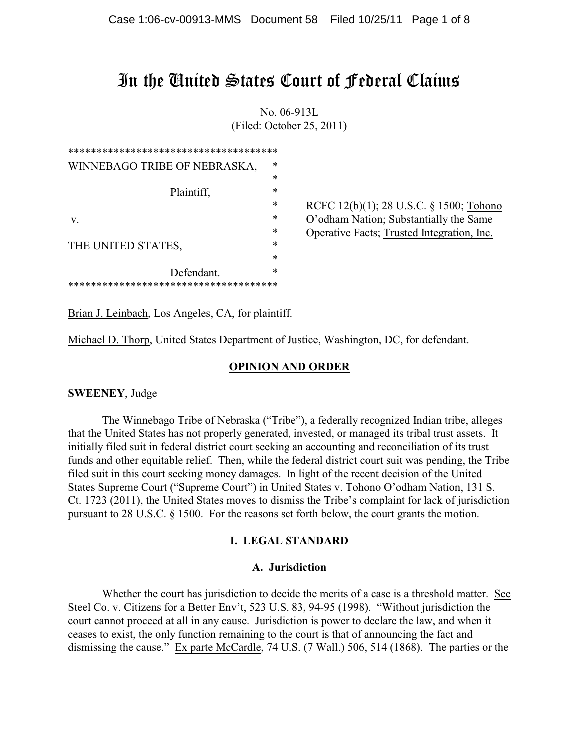# In the United States Court of Federal Claims

No. 06-913L (Filed: October 25, 2011)

| ************************************** |        |                                            |
|----------------------------------------|--------|--------------------------------------------|
| WINNEBAGO TRIBE OF NEBRASKA,           | $\ast$ |                                            |
|                                        | $\ast$ |                                            |
| Plaintiff,                             | $\ast$ |                                            |
|                                        | $\ast$ | RCFC 12(b)(1); 28 U.S.C. § 1500; Tohono    |
| V.                                     | $\ast$ | O'odham Nation; Substantially the Same     |
|                                        | $\ast$ | Operative Facts; Trusted Integration, Inc. |
| THE UNITED STATES,                     | *      |                                            |
|                                        | $\ast$ |                                            |
| Defendant.                             | $\ast$ |                                            |
| *********************                  |        |                                            |

Brian J. Leinbach, Los Angeles, CA, for plaintiff.

Michael D. Thorp, United States Department of Justice, Washington, DC, for defendant.

## **OPINION AND ORDER**

**SWEENEY**, Judge

The Winnebago Tribe of Nebraska ("Tribe"), a federally recognized Indian tribe, alleges that the United States has not properly generated, invested, or managed its tribal trust assets. It initially filed suit in federal district court seeking an accounting and reconciliation of its trust funds and other equitable relief. Then, while the federal district court suit was pending, the Tribe filed suit in this court seeking money damages. In light of the recent decision of the United States Supreme Court ("Supreme Court") in United States v. Tohono O'odham Nation, 131 S. Ct. 1723 (2011), the United States moves to dismiss the Tribe's complaint for lack of jurisdiction pursuant to 28 U.S.C. § 1500. For the reasons set forth below, the court grants the motion.

## **I. LEGAL STANDARD**

## **A. Jurisdiction**

Whether the court has jurisdiction to decide the merits of a case is a threshold matter. See Steel Co. v. Citizens for a Better Env't, 523 U.S. 83, 94-95 (1998). "Without jurisdiction the court cannot proceed at all in any cause. Jurisdiction is power to declare the law, and when it ceases to exist, the only function remaining to the court is that of announcing the fact and dismissing the cause." Ex parte McCardle, 74 U.S. (7 Wall.) 506, 514 (1868). The parties or the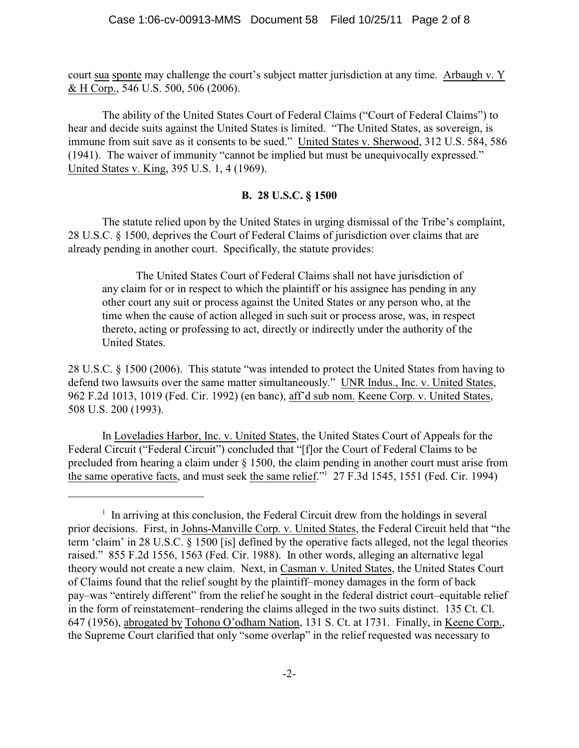court sua sponte may challenge the court's subject matter jurisdiction at any time. Arbaugh v. Y & H Corp., 546 U.S. 500, 506 (2006).

The ability of the United States Court of Federal Claims ("Court of Federal Claims") to hear and decide suits against the United States is limited. "The United States, as sovereign, is immune from suit save as it consents to be sued." United States v. Sherwood, 312 U.S. 584, 586 (1941). The waiver of immunity "cannot be implied but must be unequivocally expressed." United States v. King, 395 U.S. 1, 4 (1969).

## **B. 28 U.S.C. § 1500**

The statute relied upon by the United States in urging dismissal of the Tribe's complaint, 28 U.S.C. § 1500, deprives the Court of Federal Claims of jurisdiction over claims that are already pending in another court. Specifically, the statute provides:

The United States Court of Federal Claims shall not have jurisdiction of any claim for or in respect to which the plaintiff or his assignee has pending in any other court any suit or process against the United States or any person who, at the time when the cause of action alleged in such suit or process arose, was, in respect thereto, acting or professing to act, directly or indirectly under the authority of the United States.

28 U.S.C. § 1500 (2006). This statute "was intended to protect the United States from having to defend two lawsuits over the same matter simultaneously." UNR Indus., Inc. v. United States, 962 F.2d 1013, 1019 (Fed. Cir. 1992) (en banc), aff'd sub nom. Keene Corp. v. United States, 508 U.S. 200 (1993).

In Loveladies Harbor, Inc. v. United States, the United States Court of Appeals for the Federal Circuit ("Federal Circuit") concluded that "[f]or the Court of Federal Claims to be precluded from hearing a claim under § 1500, the claim pending in another court must arise from the same operative facts, and must seek the same relief."<sup>1</sup> 27 F.3d 1545, 1551 (Fed. Cir. 1994)

 $<sup>1</sup>$  In arriving at this conclusion, the Federal Circuit drew from the holdings in several</sup> prior decisions. First, in Johns-Manville Corp. v. United States, the Federal Circuit held that "the term 'claim' in 28 U.S.C. § 1500 [is] defined by the operative facts alleged, not the legal theories raised." 855 F.2d 1556, 1563 (Fed. Cir. 1988). In other words, alleging an alternative legal theory would not create a new claim. Next, in Casman v. United States, the United States Court of Claims found that the relief sought by the plaintiff–money damages in the form of back pay–was "entirely different" from the relief he sought in the federal district court–equitable relief in the form of reinstatement–rendering the claims alleged in the two suits distinct. 135 Ct. Cl. 647 (1956), abrogated by Tohono O'odham Nation, 131 S. Ct. at 1731. Finally, in Keene Corp., the Supreme Court clarified that only "some overlap" in the relief requested was necessary to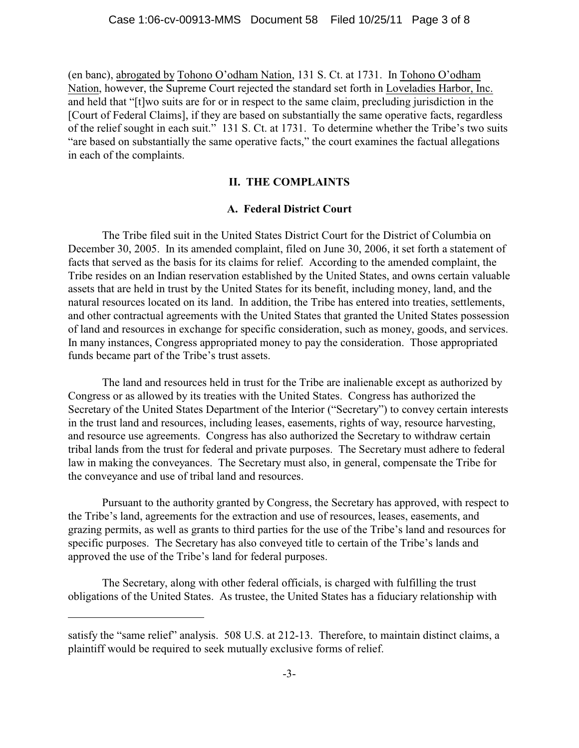(en banc), abrogated by Tohono O'odham Nation, 131 S. Ct. at 1731. In Tohono O'odham Nation, however, the Supreme Court rejected the standard set forth in Loveladies Harbor, Inc. and held that "[t]wo suits are for or in respect to the same claim, precluding jurisdiction in the [Court of Federal Claims], if they are based on substantially the same operative facts, regardless of the relief sought in each suit." 131 S. Ct. at 1731. To determine whether the Tribe's two suits "are based on substantially the same operative facts," the court examines the factual allegations in each of the complaints.

## **II. THE COMPLAINTS**

#### **A. Federal District Court**

The Tribe filed suit in the United States District Court for the District of Columbia on December 30, 2005. In its amended complaint, filed on June 30, 2006, it set forth a statement of facts that served as the basis for its claims for relief. According to the amended complaint, the Tribe resides on an Indian reservation established by the United States, and owns certain valuable assets that are held in trust by the United States for its benefit, including money, land, and the natural resources located on its land. In addition, the Tribe has entered into treaties, settlements, and other contractual agreements with the United States that granted the United States possession of land and resources in exchange for specific consideration, such as money, goods, and services. In many instances, Congress appropriated money to pay the consideration. Those appropriated funds became part of the Tribe's trust assets.

The land and resources held in trust for the Tribe are inalienable except as authorized by Congress or as allowed by its treaties with the United States. Congress has authorized the Secretary of the United States Department of the Interior ("Secretary") to convey certain interests in the trust land and resources, including leases, easements, rights of way, resource harvesting, and resource use agreements. Congress has also authorized the Secretary to withdraw certain tribal lands from the trust for federal and private purposes. The Secretary must adhere to federal law in making the conveyances. The Secretary must also, in general, compensate the Tribe for the conveyance and use of tribal land and resources.

Pursuant to the authority granted by Congress, the Secretary has approved, with respect to the Tribe's land, agreements for the extraction and use of resources, leases, easements, and grazing permits, as well as grants to third parties for the use of the Tribe's land and resources for specific purposes. The Secretary has also conveyed title to certain of the Tribe's lands and approved the use of the Tribe's land for federal purposes.

The Secretary, along with other federal officials, is charged with fulfilling the trust obligations of the United States. As trustee, the United States has a fiduciary relationship with

satisfy the "same relief" analysis. 508 U.S. at 212-13. Therefore, to maintain distinct claims, a plaintiff would be required to seek mutually exclusive forms of relief.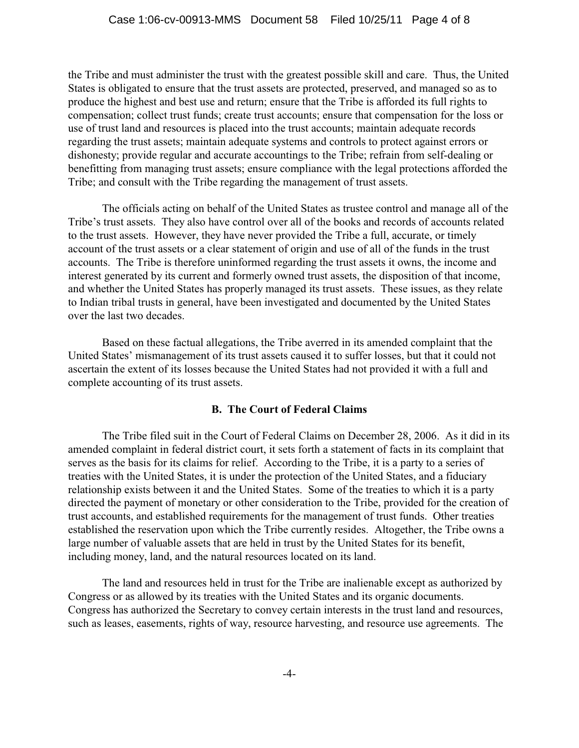the Tribe and must administer the trust with the greatest possible skill and care. Thus, the United States is obligated to ensure that the trust assets are protected, preserved, and managed so as to produce the highest and best use and return; ensure that the Tribe is afforded its full rights to compensation; collect trust funds; create trust accounts; ensure that compensation for the loss or use of trust land and resources is placed into the trust accounts; maintain adequate records regarding the trust assets; maintain adequate systems and controls to protect against errors or dishonesty; provide regular and accurate accountings to the Tribe; refrain from self-dealing or benefitting from managing trust assets; ensure compliance with the legal protections afforded the Tribe; and consult with the Tribe regarding the management of trust assets.

The officials acting on behalf of the United States as trustee control and manage all of the Tribe's trust assets. They also have control over all of the books and records of accounts related to the trust assets. However, they have never provided the Tribe a full, accurate, or timely account of the trust assets or a clear statement of origin and use of all of the funds in the trust accounts. The Tribe is therefore uninformed regarding the trust assets it owns, the income and interest generated by its current and formerly owned trust assets, the disposition of that income, and whether the United States has properly managed its trust assets. These issues, as they relate to Indian tribal trusts in general, have been investigated and documented by the United States over the last two decades.

Based on these factual allegations, the Tribe averred in its amended complaint that the United States' mismanagement of its trust assets caused it to suffer losses, but that it could not ascertain the extent of its losses because the United States had not provided it with a full and complete accounting of its trust assets.

## **B. The Court of Federal Claims**

The Tribe filed suit in the Court of Federal Claims on December 28, 2006. As it did in its amended complaint in federal district court, it sets forth a statement of facts in its complaint that serves as the basis for its claims for relief. According to the Tribe, it is a party to a series of treaties with the United States, it is under the protection of the United States, and a fiduciary relationship exists between it and the United States. Some of the treaties to which it is a party directed the payment of monetary or other consideration to the Tribe, provided for the creation of trust accounts, and established requirements for the management of trust funds. Other treaties established the reservation upon which the Tribe currently resides. Altogether, the Tribe owns a large number of valuable assets that are held in trust by the United States for its benefit, including money, land, and the natural resources located on its land.

The land and resources held in trust for the Tribe are inalienable except as authorized by Congress or as allowed by its treaties with the United States and its organic documents. Congress has authorized the Secretary to convey certain interests in the trust land and resources, such as leases, easements, rights of way, resource harvesting, and resource use agreements. The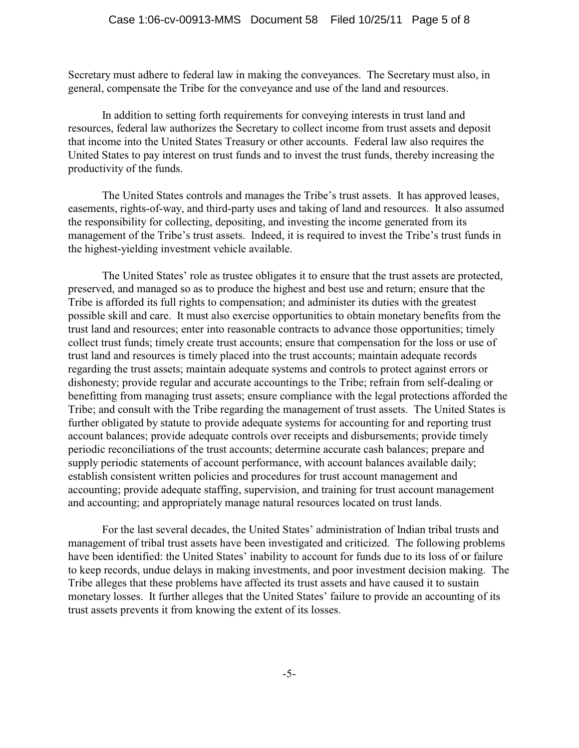Secretary must adhere to federal law in making the conveyances. The Secretary must also, in general, compensate the Tribe for the conveyance and use of the land and resources.

In addition to setting forth requirements for conveying interests in trust land and resources, federal law authorizes the Secretary to collect income from trust assets and deposit that income into the United States Treasury or other accounts. Federal law also requires the United States to pay interest on trust funds and to invest the trust funds, thereby increasing the productivity of the funds.

The United States controls and manages the Tribe's trust assets. It has approved leases, easements, rights-of-way, and third-party uses and taking of land and resources. It also assumed the responsibility for collecting, depositing, and investing the income generated from its management of the Tribe's trust assets. Indeed, it is required to invest the Tribe's trust funds in the highest-yielding investment vehicle available.

The United States' role as trustee obligates it to ensure that the trust assets are protected, preserved, and managed so as to produce the highest and best use and return; ensure that the Tribe is afforded its full rights to compensation; and administer its duties with the greatest possible skill and care. It must also exercise opportunities to obtain monetary benefits from the trust land and resources; enter into reasonable contracts to advance those opportunities; timely collect trust funds; timely create trust accounts; ensure that compensation for the loss or use of trust land and resources is timely placed into the trust accounts; maintain adequate records regarding the trust assets; maintain adequate systems and controls to protect against errors or dishonesty; provide regular and accurate accountings to the Tribe; refrain from self-dealing or benefitting from managing trust assets; ensure compliance with the legal protections afforded the Tribe; and consult with the Tribe regarding the management of trust assets. The United States is further obligated by statute to provide adequate systems for accounting for and reporting trust account balances; provide adequate controls over receipts and disbursements; provide timely periodic reconciliations of the trust accounts; determine accurate cash balances; prepare and supply periodic statements of account performance, with account balances available daily; establish consistent written policies and procedures for trust account management and accounting; provide adequate staffing, supervision, and training for trust account management and accounting; and appropriately manage natural resources located on trust lands.

For the last several decades, the United States' administration of Indian tribal trusts and management of tribal trust assets have been investigated and criticized. The following problems have been identified: the United States' inability to account for funds due to its loss of or failure to keep records, undue delays in making investments, and poor investment decision making. The Tribe alleges that these problems have affected its trust assets and have caused it to sustain monetary losses. It further alleges that the United States' failure to provide an accounting of its trust assets prevents it from knowing the extent of its losses.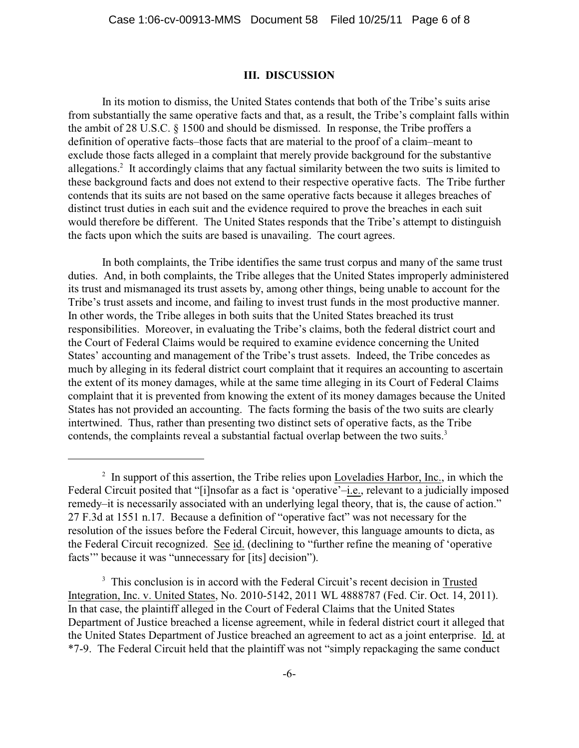#### **III. DISCUSSION**

In its motion to dismiss, the United States contends that both of the Tribe's suits arise from substantially the same operative facts and that, as a result, the Tribe's complaint falls within the ambit of 28 U.S.C. § 1500 and should be dismissed. In response, the Tribe proffers a definition of operative facts–those facts that are material to the proof of a claim–meant to exclude those facts alleged in a complaint that merely provide background for the substantive allegations.<sup>2</sup> It accordingly claims that any factual similarity between the two suits is limited to these background facts and does not extend to their respective operative facts. The Tribe further contends that its suits are not based on the same operative facts because it alleges breaches of distinct trust duties in each suit and the evidence required to prove the breaches in each suit would therefore be different. The United States responds that the Tribe's attempt to distinguish the facts upon which the suits are based is unavailing. The court agrees.

In both complaints, the Tribe identifies the same trust corpus and many of the same trust duties. And, in both complaints, the Tribe alleges that the United States improperly administered its trust and mismanaged its trust assets by, among other things, being unable to account for the Tribe's trust assets and income, and failing to invest trust funds in the most productive manner. In other words, the Tribe alleges in both suits that the United States breached its trust responsibilities. Moreover, in evaluating the Tribe's claims, both the federal district court and the Court of Federal Claims would be required to examine evidence concerning the United States' accounting and management of the Tribe's trust assets. Indeed, the Tribe concedes as much by alleging in its federal district court complaint that it requires an accounting to ascertain the extent of its money damages, while at the same time alleging in its Court of Federal Claims complaint that it is prevented from knowing the extent of its money damages because the United States has not provided an accounting. The facts forming the basis of the two suits are clearly intertwined. Thus, rather than presenting two distinct sets of operative facts, as the Tribe contends, the complaints reveal a substantial factual overlap between the two suits.<sup>3</sup>

 $\frac{1}{2}$  In support of this assertion, the Tribe relies upon Loveladies Harbor, Inc., in which the Federal Circuit posited that "[i]nsofar as a fact is 'operative'–i.e., relevant to a judicially imposed remedy–it is necessarily associated with an underlying legal theory, that is, the cause of action." 27 F.3d at 1551 n.17. Because a definition of "operative fact" was not necessary for the resolution of the issues before the Federal Circuit, however, this language amounts to dicta, as the Federal Circuit recognized. See id. (declining to "further refine the meaning of 'operative facts'" because it was "unnecessary for [its] decision").

<sup>&</sup>lt;sup>3</sup> This conclusion is in accord with the Federal Circuit's recent decision in Trusted Integration, Inc. v. United States, No. 2010-5142, 2011 WL 4888787 (Fed. Cir. Oct. 14, 2011). In that case, the plaintiff alleged in the Court of Federal Claims that the United States Department of Justice breached a license agreement, while in federal district court it alleged that the United States Department of Justice breached an agreement to act as a joint enterprise. Id. at \*7-9. The Federal Circuit held that the plaintiff was not "simply repackaging the same conduct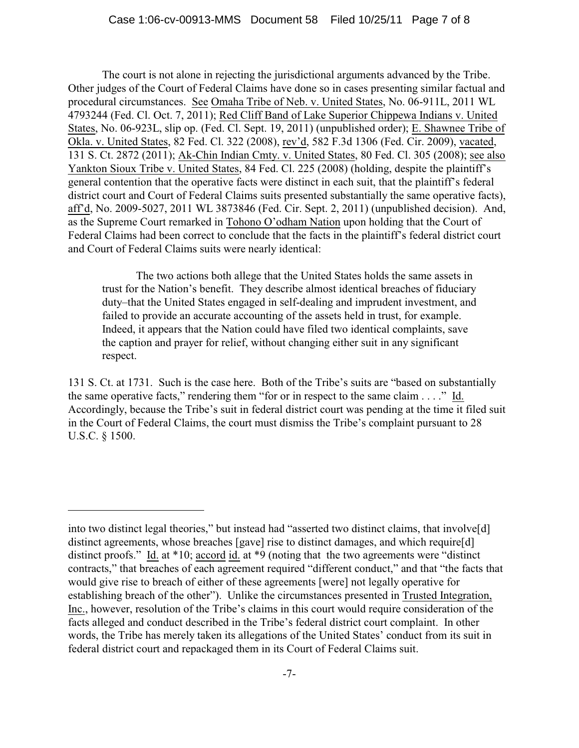The court is not alone in rejecting the jurisdictional arguments advanced by the Tribe. Other judges of the Court of Federal Claims have done so in cases presenting similar factual and procedural circumstances. See Omaha Tribe of Neb. v. United States, No. 06-911L, 2011 WL 4793244 (Fed. Cl. Oct. 7, 2011); Red Cliff Band of Lake Superior Chippewa Indians v. United States, No. 06-923L, slip op. (Fed. Cl. Sept. 19, 2011) (unpublished order); E. Shawnee Tribe of Okla. v. United States, 82 Fed. Cl. 322 (2008), rev'd, 582 F.3d 1306 (Fed. Cir. 2009), vacated, 131 S. Ct. 2872 (2011); Ak-Chin Indian Cmty. v. United States, 80 Fed. Cl. 305 (2008); see also Yankton Sioux Tribe v. United States, 84 Fed. Cl. 225 (2008) (holding, despite the plaintiff's general contention that the operative facts were distinct in each suit, that the plaintiff's federal district court and Court of Federal Claims suits presented substantially the same operative facts), aff'd, No. 2009-5027, 2011 WL 3873846 (Fed. Cir. Sept. 2, 2011) (unpublished decision). And, as the Supreme Court remarked in Tohono O'odham Nation upon holding that the Court of Federal Claims had been correct to conclude that the facts in the plaintiff's federal district court and Court of Federal Claims suits were nearly identical:

The two actions both allege that the United States holds the same assets in trust for the Nation's benefit. They describe almost identical breaches of fiduciary duty–that the United States engaged in self-dealing and imprudent investment, and failed to provide an accurate accounting of the assets held in trust, for example. Indeed, it appears that the Nation could have filed two identical complaints, save the caption and prayer for relief, without changing either suit in any significant respect.

131 S. Ct. at 1731. Such is the case here. Both of the Tribe's suits are "based on substantially the same operative facts," rendering them "for or in respect to the same claim . . . ." Id. Accordingly, because the Tribe's suit in federal district court was pending at the time it filed suit in the Court of Federal Claims, the court must dismiss the Tribe's complaint pursuant to 28 U.S.C. § 1500.

into two distinct legal theories," but instead had "asserted two distinct claims, that involve[d] distinct agreements, whose breaches [gave] rise to distinct damages, and which require[d] distinct proofs." Id. at \*10; accord id. at \*9 (noting that the two agreements were "distinct contracts," that breaches of each agreement required "different conduct," and that "the facts that would give rise to breach of either of these agreements [were] not legally operative for establishing breach of the other"). Unlike the circumstances presented in Trusted Integration, Inc., however, resolution of the Tribe's claims in this court would require consideration of the facts alleged and conduct described in the Tribe's federal district court complaint. In other words, the Tribe has merely taken its allegations of the United States' conduct from its suit in federal district court and repackaged them in its Court of Federal Claims suit.